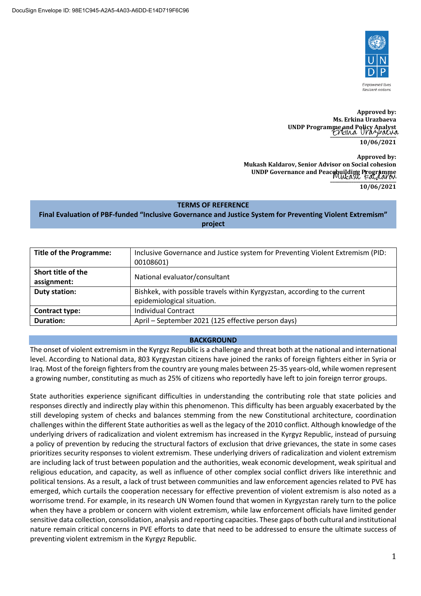

**Approved by: Ms. Erkina Urazbaeva UNDP Programme and Policy Analyst \_\_\_\_\_\_\_\_\_\_\_\_\_\_\_\_\_\_\_\_\_\_\_\_\_\_\_\_** 

**10/06/2021**

**Approved by: Mukash Kaldarov, Senior Advisor on Social cohesion UNDP Governance and Peacebuilding Programme**  $\frac{1}{2}$ 

**10/06/2021**

#### **TERMS OF REFERENCE**

**Final Evaluation of PBF-funded "Inclusive Governance and Justice System for Preventing Violent Extremism" project**

| <b>Title of the Programme:</b>    | Inclusive Governance and Justice system for Preventing Violent Extremism (PID:<br>00108601)              |  |
|-----------------------------------|----------------------------------------------------------------------------------------------------------|--|
| Short title of the<br>assignment: | National evaluator/consultant                                                                            |  |
| Duty station:                     | Bishkek, with possible travels within Kyrgyzstan, according to the current<br>epidemiological situation. |  |
| <b>Contract type:</b>             | <b>Individual Contract</b>                                                                               |  |
| <b>Duration:</b>                  | April – September 2021 (125 effective person days)                                                       |  |

#### **BACKGROUND**

The onset of violent extremism in the Kyrgyz Republic is a challenge and threat both at the national and international level. According to National data, 803 Kyrgyzstan citizens have joined the ranks of foreign fighters either in Syria or Iraq. Most of the foreign fighters from the country are young males between 25-35 years-old, while women represent a growing number, constituting as much as 25% of citizens who reportedly have left to join foreign terror groups.

State authorities experience significant difficulties in understanding the contributing role that state policies and responses directly and indirectly play within this phenomenon. This difficulty has been arguably exacerbated by the still developing system of checks and balances stemming from the new Constitutional architecture, coordination challenges within the different State authorities as well as the legacy of the 2010 conflict. Although knowledge of the underlying drivers of radicalization and violent extremism has increased in the Kyrgyz Republic, instead of pursuing a policy of prevention by reducing the structural factors of exclusion that drive grievances, the state in some cases prioritizes security responses to violent extremism. These underlying drivers of radicalization and violent extremism are including lack of trust between population and the authorities, weak economic development, weak spiritual and religious education, and capacity, as well as influence of other complex social conflict drivers like interethnic and political tensions. As a result, a lack of trust between communities and law enforcement agencies related to PVE has emerged, which curtails the cooperation necessary for effective prevention of violent extremism is also noted as a worrisome trend. For example, in its research UN Women found that women in Kyrgyzstan rarely turn to the police when they have a problem or concern with violent extremism, while law enforcement officials have limited gender sensitive data collection, consolidation, analysis and reporting capacities. These gaps of both cultural and institutional nature remain critical concerns in PVE efforts to date that need to be addressed to ensure the ultimate success of preventing violent extremism in the Kyrgyz Republic.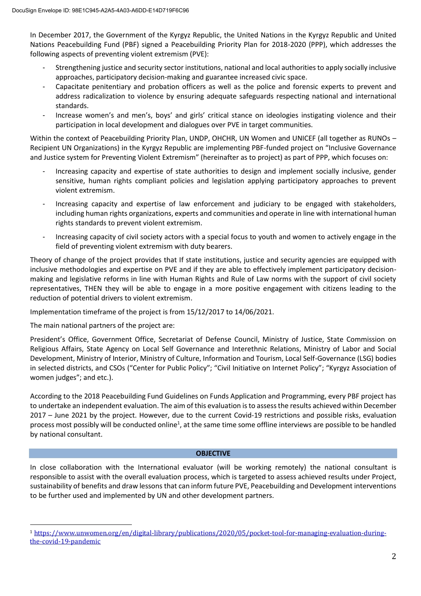In December 2017, the Government of the Kyrgyz Republic, the United Nations in the Kyrgyz Republic and United Nations Peacebuilding Fund (PBF) signed a Peacebuilding Priority Plan for 2018-2020 (PPP), which addresses the following aspects of preventing violent extremism (PVE):

- Strengthening justice and security sector institutions, national and local authorities to apply socially inclusive approaches, participatory decision-making and guarantee increased civic space.
- Capacitate penitentiary and probation officers as well as the police and forensic experts to prevent and address radicalization to violence by ensuring adequate safeguards respecting national and international standards.
- Increase women's and men's, boys' and girls' critical stance on ideologies instigating violence and their participation in local development and dialogues over PVE in target communities.

Within the context of Peacebuilding Priority Plan, UNDP, OHCHR, UN Women and UNICEF (all together as RUNOs – Recipient UN Organizations) in the Kyrgyz Republic are implementing PBF-funded project on "Inclusive Governance and Justice system for Preventing Violent Extremism" (hereinafter as to project) as part of PPP, which focuses on:

- Increasing capacity and expertise of state authorities to design and implement socially inclusive, gender sensitive, human rights compliant policies and legislation applying participatory approaches to prevent violent extremism.
- Increasing capacity and expertise of law enforcement and judiciary to be engaged with stakeholders, including human rights organizations, experts and communities and operate in line with international human rights standards to prevent violent extremism.
- Increasing capacity of civil society actors with a special focus to youth and women to actively engage in the field of preventing violent extremism with duty bearers.

Theory of change of the project provides that If state institutions, justice and security agencies are equipped with inclusive methodologies and expertise on PVE and if they are able to effectively implement participatory decisionmaking and legislative reforms in line with Human Rights and Rule of Law norms with the support of civil society representatives, THEN they will be able to engage in a more positive engagement with citizens leading to the reduction of potential drivers to violent extremism.

Implementation timeframe of the project is from 15/12/2017 to 14/06/2021.

The main national partners of the project are:

 $\overline{\phantom{a}}$ 

President's Office, Government Office, Secretariat of Defense Council, Ministry of Justice, State Commission on Religious Affairs, State Agency on Local Self Governance and Interethnic Relations, Ministry of Labor and Social Development, Ministry of Interior, Ministry of Culture, Information and Tourism, Local Self-Governance (LSG) bodies in selected districts, and CSOs ("Center for Public Policy"; "Civil Initiative on Internet Policy"; "Kyrgyz Association of women judges"; and etc.).

According to the 2018 Peacebuilding Fund Guidelines on Funds Application and Programming, every PBF project has to undertake an independent evaluation. The aim of this evaluation is to assess the results achieved within December 2017 – June 2021 by the project. However, due to the current Covid-19 restrictions and possible risks, evaluation process most possibly will be conducted online<sup>1</sup>, at the same time some offline interviews are possible to be handled by national consultant.

#### **OBJECTIVE**

In close collaboration with the International evaluator (will be working remotely) the national consultant is responsible to assist with the overall evaluation process, which is targeted to assess achieved results under Project, sustainability of benefits and draw lessons that can inform future PVE, Peacebuilding and Development interventions to be further used and implemented by UN and other development partners.

<sup>1</sup> [https://www.unwomen.org/en/digital-library/publications/2020/05/pocket-tool-for-managing-evaluation-during](https://www.unwomen.org/en/digital-library/publications/2020/05/pocket-tool-for-managing-evaluation-during-the-covid-19-pandemic)[the-covid-19-pandemic](https://www.unwomen.org/en/digital-library/publications/2020/05/pocket-tool-for-managing-evaluation-during-the-covid-19-pandemic)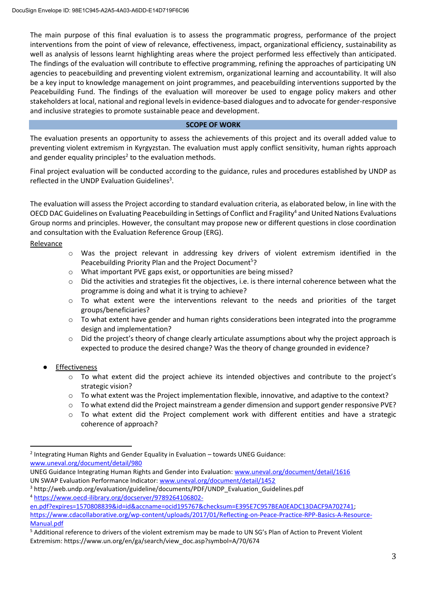The main purpose of this final evaluation is to assess the programmatic progress, performance of the project interventions from the point of view of relevance, effectiveness, impact, organizational efficiency, sustainability as well as analysis of lessons learnt highlighting areas where the project performed less effectively than anticipated. The findings of the evaluation will contribute to effective programming, refining the approaches of participating UN agencies to peacebuilding and preventing violent extremism, organizational learning and accountability. It will also be a key input to knowledge management on joint programmes, and peacebuilding interventions supported by the Peacebuilding Fund. The findings of the evaluation will moreover be used to engage policy makers and other stakeholders at local, national and regional levels in evidence-based dialogues and to advocate for gender-responsive and inclusive strategies to promote sustainable peace and development.

### **SCOPE OF WORK**

The evaluation presents an opportunity to assess the achievements of this project and its overall added value to preventing violent extremism in Kyrgyzstan. The evaluation must apply conflict sensitivity, human rights approach and gender equality principles<sup>2</sup> to the evaluation methods.

Final project evaluation will be conducted according to the guidance, rules and procedures established by UNDP as reflected in the UNDP Evaluation Guidelines<sup>3</sup>.

The evaluation will assess the Project according to standard evaluation criteria, as elaborated below, in line with the OECD DAC Guidelines on Evaluating Peacebuilding in Settings of Conflict and Fragility<sup>4</sup> and United Nations Evaluations Group norms and principles. However, the consultant may propose new or different questions in close coordination and consultation with the Evaluation Reference Group (ERG).

# **Relevance**

- o Was the project relevant in addressing key drivers of violent extremism identified in the Peacebuilding Priority Plan and the Project Document<sup>5</sup>?
- o What important PVE gaps exist, or opportunities are being missed?
- $\circ$  Did the activities and strategies fit the objectives, i.e. is there internal coherence between what the programme is doing and what it is trying to achieve?
- o To what extent were the interventions relevant to the needs and priorities of the target groups/beneficiaries?
- $\circ$  To what extent have gender and human rights considerations been integrated into the programme design and implementation?
- o Did the project's theory of change clearly articulate assumptions about why the project approach is expected to produce the desired change? Was the theory of change grounded in evidence?
- Effectiveness

 $\overline{a}$ 

- o To what extent did the project achieve its intended objectives and contribute to the project's strategic vision?
- o To what extent was the Project implementation flexible, innovative, and adaptive to the context?
- o To what extend did the Project mainstream a gender dimension and support gender responsive PVE?
- $\circ$  To what extent did the Project complement work with different entities and have a strategic coherence of approach?

<sup>&</sup>lt;sup>2</sup> Integrating Human Rights and Gender Equality in Evaluation - towards UNEG Guidance: [www.uneval.org/document/detail/980](http://www.uneval.org/document/detail/980)

UNEG Guidance Integrating Human Rights and Gender into Evaluation[: www.uneval.org/document/detail/1616](http://www.uneval.org/document/detail/1616) UN SWAP Evaluation Performance Indicator[: www.uneval.org/document/detail/1452](http://www.uneval.org/document/detail/1452)

<sup>3</sup> http://web.undp.org/evaluation/guideline/documents/PDF/UNDP\_Evaluation\_Guidelines.pdf <sup>4</sup> [https://www.oecd-ilibrary.org/docserver/9789264106802-](https://www.oecd-ilibrary.org/docserver/9789264106802-en.pdf?expires=1570808839&id=id&accname=ocid195767&checksum=E395E7C957BEA0EADC13DACF9A702741)

[en.pdf?expires=1570808839&id=id&accname=ocid195767&checksum=E395E7C957BEA0EADC13DACF9A702741;](https://www.oecd-ilibrary.org/docserver/9789264106802-en.pdf?expires=1570808839&id=id&accname=ocid195767&checksum=E395E7C957BEA0EADC13DACF9A702741) [https://www.cdacollaborative.org/wp-content/uploads/2017/01/Reflecting-on-Peace-Practice-RPP-Basics-A-Resource-](https://www.cdacollaborative.org/wp-content/uploads/2017/01/Reflecting-on-Peace-Practice-RPP-Basics-A-Resource-Manual.pdf)[Manual.pdf](https://www.cdacollaborative.org/wp-content/uploads/2017/01/Reflecting-on-Peace-Practice-RPP-Basics-A-Resource-Manual.pdf)

<sup>5</sup> Additional reference to drivers of the violent extremism may be made to UN SG's Plan of Action to Prevent Violent Extremism: https://www.un.org/en/ga/search/view\_doc.asp?symbol=A/70/674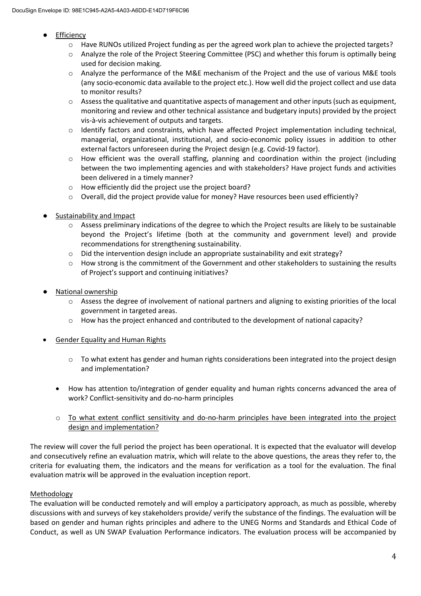- Efficiency
	- o Have RUNOs utilized Project funding as per the agreed work plan to achieve the projected targets?
	- o Analyze the role of the Project Steering Committee (PSC) and whether this forum is optimally being used for decision making.
	- o Analyze the performance of the M&E mechanism of the Project and the use of various M&E tools (any socio-economic data available to the project etc.). How well did the project collect and use data to monitor results?
	- o Assess the qualitative and quantitative aspects of management and other inputs (such as equipment, monitoring and review and other technical assistance and budgetary inputs) provided by the project vis-à-vis achievement of outputs and targets.
	- o Identify factors and constraints, which have affected Project implementation including technical, managerial, organizational, institutional, and socio-economic policy issues in addition to other external factors unforeseen during the Project design (e.g. Covid-19 factor).
	- o How efficient was the overall staffing, planning and coordination within the project (including between the two implementing agencies and with stakeholders? Have project funds and activities been delivered in a timely manner?
	- o How efficiently did the project use the project board?
	- o Overall, did the project provide value for money? Have resources been used efficiently?
- **Sustainability and Impact** 
	- o Assess preliminary indications of the degree to which the Project results are likely to be sustainable beyond the Project's lifetime (both at the community and government level) and provide recommendations for strengthening sustainability.
	- $\circ$  Did the intervention design include an appropriate sustainability and exit strategy?
	- o How strong is the commitment of the Government and other stakeholders to sustaining the results of Project's support and continuing initiatives?
- **National ownership** 
	- o Assess the degree of involvement of national partners and aligning to existing priorities of the local government in targeted areas.
	- o How has the project enhanced and contributed to the development of national capacity?
- Gender Equality and Human Rights
	- $\circ$  To what extent has gender and human rights considerations been integrated into the project design and implementation?
	- How has attention to/integration of gender equality and human rights concerns advanced the area of work? Conflict-sensitivity and do-no-harm principles
	- o To what extent conflict sensitivity and do-no-harm principles have been integrated into the project design and implementation?

The review will cover the full period the project has been operational. It is expected that the evaluator will develop and consecutively refine an evaluation matrix, which will relate to the above questions, the areas they refer to, the criteria for evaluating them, the indicators and the means for verification as a tool for the evaluation. The final evaluation matrix will be approved in the evaluation inception report.

# Methodology

The evaluation will be conducted remotely and will employ a participatory approach, as much as possible, whereby discussions with and surveys of key stakeholders provide/ verify the substance of the findings. The evaluation will be based on gender and human rights principles and adhere to the UNEG Norms and Standards and Ethical Code of Conduct, as well as UN SWAP Evaluation Performance indicators. The evaluation process will be accompanied by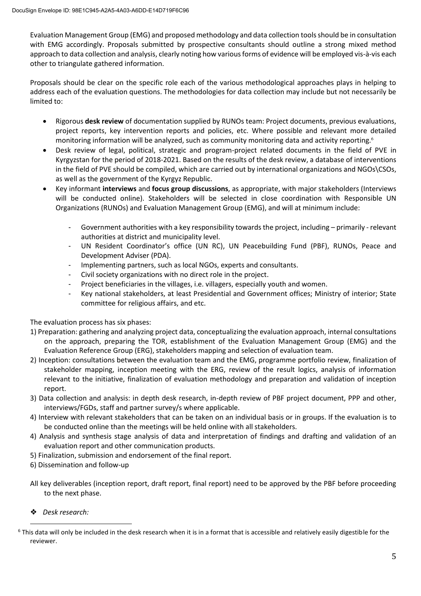Evaluation Management Group (EMG) and proposed methodology and data collection tools should be in consultation with EMG accordingly. Proposals submitted by prospective consultants should outline a strong mixed method approach to data collection and analysis, clearly noting how various forms of evidence will be employed vis-à-vis each other to triangulate gathered information.

Proposals should be clear on the specific role each of the various methodological approaches plays in helping to address each of the evaluation questions. The methodologies for data collection may include but not necessarily be limited to:

- Rigorous **desk review** of documentation supplied by RUNOs team: Project documents, previous evaluations, project reports, key intervention reports and policies, etc. Where possible and relevant more detailed monitoring information will be analyzed, such as community monitoring data and activity reporting.<sup>6</sup>
- Desk review of legal, political, strategic and program-project related documents in the field of PVE in Kyrgyzstan for the period of 2018-2021. Based on the results of the desk review, a database of interventions in the field of PVE should be compiled, which are carried out by international organizations and NGOs\CSOs, as well as the government of the Kyrgyz Republic.
- Key informant **interviews** and **focus group discussions**, as appropriate, with major stakeholders (Interviews will be conducted online). Stakeholders will be selected in close coordination with Responsible UN Organizations (RUNOs) and Evaluation Management Group (EMG), and will at minimum include:
	- Government authorities with a key responsibility towards the project, including primarily relevant authorities at district and municipality level.
	- UN Resident Coordinator's office (UN RC), UN Peacebuilding Fund (PBF), RUNOs, Peace and Development Adviser (PDA).
	- Implementing partners, such as local NGOs, experts and consultants.
	- Civil society organizations with no direct role in the project.
	- Project beneficiaries in the villages, i.e. villagers, especially youth and women.
	- Key national stakeholders, at least Presidential and Government offices; Ministry of interior; State committee for religious affairs, and etc.

The evaluation process has six phases:

- 1) Preparation: gathering and analyzing project data, conceptualizing the evaluation approach, internal consultations on the approach, preparing the TOR, establishment of the Evaluation Management Group (EMG) and the Evaluation Reference Group (ERG), stakeholders mapping and selection of evaluation team.
- 2) Inception: consultations between the evaluation team and the EMG, programme portfolio review, finalization of stakeholder mapping, inception meeting with the ERG, review of the result logics, analysis of information relevant to the initiative, finalization of evaluation methodology and preparation and validation of inception report.
- 3) Data collection and analysis: in depth desk research, in-depth review of PBF project document, PPP and other, interviews/FGDs, staff and partner survey/s where applicable.
- 4) Interview with relevant stakeholders that can be taken on an individual basis or in groups. If the evaluation is to be conducted online than the meetings will be held online with all stakeholders.
- 4) Analysis and synthesis stage analysis of data and interpretation of findings and drafting and validation of an evaluation report and other communication products.
- 5) Finalization, submission and endorsement of the final report.
- 6) Dissemination and follow-up
- All key deliverables (inception report, draft report, final report) need to be approved by the PBF before proceeding to the next phase.
- ❖ *Desk research:*

 $\overline{\phantom{a}}$ 

 $6$  This data will only be included in the desk research when it is in a format that is accessible and relatively easily digestible for the reviewer.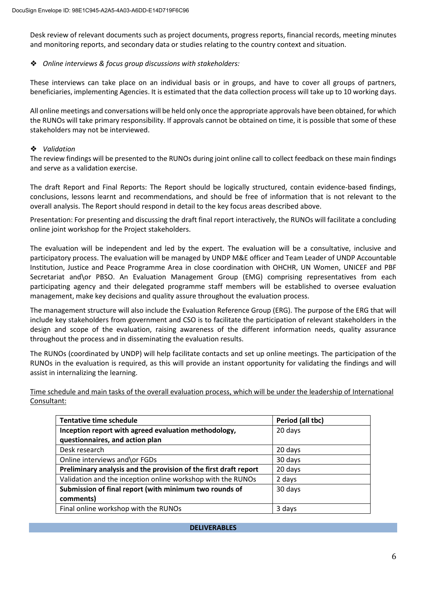Desk review of relevant documents such as project documents, progress reports, financial records, meeting minutes and monitoring reports, and secondary data or studies relating to the country context and situation.

# ❖ *Online interviews & focus group discussions with stakeholders:*

These interviews can take place on an individual basis or in groups, and have to cover all groups of partners, beneficiaries, implementing Agencies. It is estimated that the data collection process will take up to 10 working days.

All online meetings and conversations will be held only once the appropriate approvals have been obtained, for which the RUNOs will take primary responsibility. If approvals cannot be obtained on time, it is possible that some of these stakeholders may not be interviewed.

## ❖ *Validation*

The review findings will be presented to the RUNOs during joint online call to collect feedback on these main findings and serve as a validation exercise.

The draft Report and Final Reports: The Report should be logically structured, contain evidence-based findings, conclusions, lessons learnt and recommendations, and should be free of information that is not relevant to the overall analysis. The Report should respond in detail to the key focus areas described above.

Presentation: For presenting and discussing the draft final report interactively, the RUNOs will facilitate a concluding online joint workshop for the Project stakeholders.

The evaluation will be independent and led by the expert. The evaluation will be a consultative, inclusive and participatory process. The evaluation will be managed by UNDP M&E officer and Team Leader of UNDP Accountable Institution, Justice and Peace Programme Area in close coordination with OHCHR, UN Women, UNICEF and PBF Secretariat and\or PBSO. An Evaluation Management Group (EMG) comprising representatives from each participating agency and their delegated programme staff members will be established to oversee evaluation management, make key decisions and quality assure throughout the evaluation process.

The management structure will also include the Evaluation Reference Group (ERG). The purpose of the ERG that will include key stakeholders from government and CSO is to facilitate the participation of relevant stakeholders in the design and scope of the evaluation, raising awareness of the different information needs, quality assurance throughout the process and in disseminating the evaluation results.

The RUNOs (coordinated by UNDP) will help facilitate contacts and set up online meetings. The participation of the RUNOs in the evaluation is required, as this will provide an instant opportunity for validating the findings and will assist in internalizing the learning.

Time schedule and main tasks of the overall evaluation process, which will be under the leadership of International Consultant:

| <b>Tentative time schedule</b>                                   | Period (all tbc) |
|------------------------------------------------------------------|------------------|
| Inception report with agreed evaluation methodology,             | 20 days          |
| questionnaires, and action plan                                  |                  |
| Desk research                                                    | 20 days          |
| Online interviews and\or FGDs                                    | 30 days          |
| Preliminary analysis and the provision of the first draft report | 20 days          |
| Validation and the inception online workshop with the RUNOs      | 2 days           |
| Submission of final report (with minimum two rounds of           | 30 days          |
| comments)                                                        |                  |
| Final online workshop with the RUNOs                             | 3 days           |